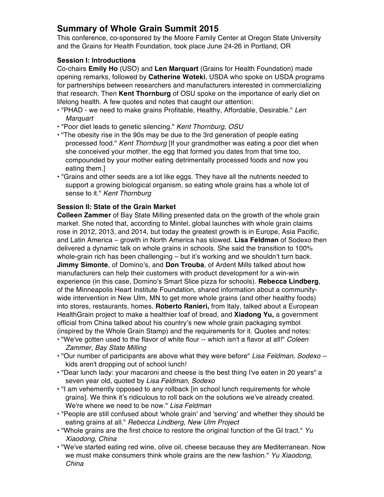# **Summary of Whole Grain Summit 2015**

This conference, co-sponsored by the Moore Family Center at Oregon State University and the Grains for Health Foundation, took place June 24-26 in Portland, OR

# **Session I: Introductions**

Co-chairs **Emily Ho** (USO) and **Len Marquart** (Grains for Health Foundation) made opening remarks, followed by **Catherine Woteki**, USDA who spoke on USDA programs for partnerships between researchers and manufacturers interested in commercializing that research. Then **Kent Thornburg** of OSU spoke on the importance of early diet on lifelong health. A few quotes and notes that caught our attention:

- "PHAD we need to make grains Profitable, Healthy, Affordable, Desirable." *Len Marquart*
- "Poor diet leads to genetic silencing." *Kent Thornburg, OSU*
- "The obesity rise in the 90s may be due to the 3rd generation of people eating processed food." *Kent Thornburg* [If your grandmother was eating a poor diet when she conceived your mother, the egg that formed you dates from that time too, compounded by your mother eating detrimentally processed foods and now you eating them.]
- "Grains and other seeds are a lot like eggs. They have all the nutrients needed to support a growing biological organism, so eating whole grains has a whole lot of sense to it." *Kent Thornburg*

# **Session II: State of the Grain Market**

**Colleen Zammer** of Bay State Milling presented data on the growth of the whole grain market. She noted that, according to Mintel, global launches with whole grain claims rose in 2012, 2013, and 2014, but today the greatest growth is in Europe, Asia Pacific, and Latin America – growth in North America has slowed. **Lisa Feldman** of Sodexo then delivered a dynamic talk on whole grains in schools. She said the transition to 100% whole-grain rich has been challenging – but it's working and we shouldn't turn back. **Jimmy Simonte**, of Domino's, and **Don Trouba**, of Ardent Mills talked about how manufacturers can help their customers with product development for a win-win experience (in this case, Domino's Smart Slice pizza for schools). **Rebecca Lindberg**, of the Minneapolis Heart Institute Foundation, shared information about a communitywide intervention in New Ulm, MN to get more whole grains (and other healthy foods) into stores, restaurants, homes. **Roberto Ranieri,** from Italy, talked about a European HealthGrain project to make a healthier loaf of bread, and **Xiadong Yu,** a government official from China talked about his country's new whole grain packaging symbol (inspired by the Whole Grain Stamp) and the requirements for it. Quotes and notes:

- "We've gotten used to the flavor of white flour -- which isn't a flavor at all!" *Coleen Zammer, Bay State Milling*
- "Our number of participants are above what they were before" *Lisa Feldman, Sodexo* kids aren't dropping out of school lunch!
- "Dear lunch lady: your macaroni and cheese is the best thing I've eaten in 20 years" a seven year old, quoted by *Lisa Feldman, Sodexo*
- "I am vehemently opposed to any rollback [in school lunch requirements for whole grains]. We think it's ridiculous to roll back on the solutions we've already created. We're where we need to be now." *Lisa Feldman*
- "People are still confused about 'whole grain' and 'serving' and whether they should be eating grains at all." *Rebecca Lindberg, New Ulm Project*
- "Whole grains are the first choice to restore the original function of the GI tract." *Yu Xiaodong, China*
- "We've started eating red wine, olive oil, cheese because they are Mediterranean. Now we must make consumers think whole grains are the new fashion." *Yu Xiaodong, China*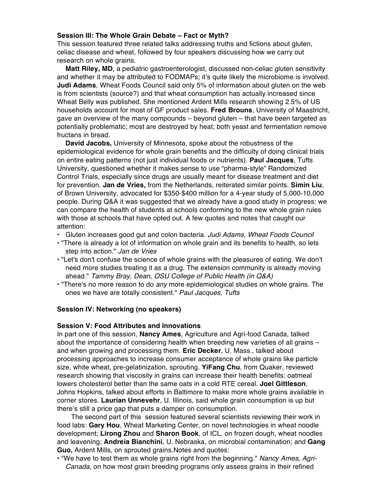#### **Session III: The Whole Grain Debate – Fact or Myth?**

This session featured three related talks addressing truths and fictions about gluten, celiac disease and wheat, followed by four speakers discussing how we carry out research on whole grains.

**Matt Riley, MD**, a pediatric gastroenterologist, discussed non-celiac gluten sensitivity and whether it may be attributed to FODMAPs; it's quite likely the microbiome is involved. **Judi Adams**, Wheat Foods Council said only 5% of information about gluten on the web is from scientists (source?) and that wheat consumption has actually increased since Wheat Belly was published. She mentioned Ardent Mills research showing 2.5% of US households account for most of GF product sales. **Fred Brouns**, University of Maastricht, gave an overview of the many compounds – beyond gluten – that have been targeted as potentially problematic; most are destroyed by heat; both yeast and fermentation remove fructans in bread.

**David Jacobs,** University of Minnesota, spoke about the robustness of the epidemiological evidence for whole grain benefits and the difficulty of doing clinical trials on entire eating patterns (not just individual foods or nutrients). **Paul Jacques**, Tufts University, questioned whether it makes sense to use "pharma-style" Randomized Control Trials, especially since drugs are usually meant for disease treatment and diet for prevention. **Jan de Vries,** from the Netherlands, reiterated similar points. **Simin Liu**, of Brown University, advocated for \$350-\$400 million for a 4-year study of 5,000-10,000 people. During Q&A it was suggested that we already have a good study in progress: we can compare the health of students at schools conforming to the new whole grain rules with those at schools that have opted out. A few quotes and notes that caught our attention:

- Gluten increases good gut and colon bacteria. *Judi Adams, Wheat Foods Council*
- "There is already a lot of information on whole grain and its benefits to health, so lets step into action." *Jan de Vries*
- "Let's don't confuse the science of whole grains with the pleasures of eating. We don't need more studies treating it as a drug. The extension community is already moving ahead." *Tammy Bray, Dean, OSU College of Public Health (in Q&A)*
- "There's no more reason to do *any* more epidemiological studies on whole grains. The ones we have are totally consistent." *Paul Jacques, Tufts*

#### **Session IV: Networking (no speakers)**

#### **Session V: Food Attributes and Innovations**

In part one of this session, **Nancy Ames**, Agriculture and Agri-food Canada, talked about the importance of considering health when breeding new varieties of all grains – and when growing and processing them. **Eric Decker**, U. Mass., talked about processing approaches to increase consumer acceptance of whole grains like particle size, white wheat, pre-gelatinization, sprouting. **YiFang Chu**, from Quaker, reviewed research showing that viscosity in grains can increase their health benefits: oatmeal lowers cholesterol better than the same oats in a cold RTE cereal. **Joel Gittleson**, Johns Hopkins, talked about efforts in Baltimore to make more whole grains available in corner stores. **Laurian Unnevehr**, U. Illinois, said whole grain consumption is up but there's still a price gap that puts a damper on consumption.

The second part of this session featured several scientists reviewing their work in food labs: **Gary Hou**, Wheat Marketing Center, on novel technologies in wheat noodle development; **Lirong Zhou** and **Sharon Book**, of ICL, on frozen dough, wheat noodles and leavening; **Andreia Bianchini**, U. Nebraska, on microbial contamination; and **Gang Guo,** Ardent Mills, on sprouted grains.Notes and quotes:

• "We have to test them as whole grains right from the beginning." *Nancy Ames, Agri-Canada*, on how most grain breeding programs only assess grains in their refined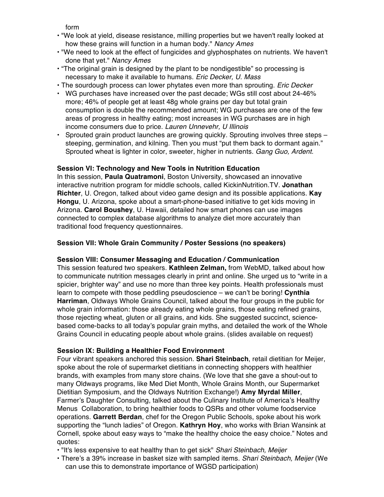form

- "We look at yield, disease resistance, milling properties but we haven't really looked at how these grains will function in a human body." *Nancy Ames*
- "We need to look at the effect of fungicides and glyphosphates on nutrients. We haven't done that yet." *Nancy Ames*
- "The original grain is designed by the plant to be nondigestible" so processing is necessary to make it available to humans. *Eric Decker, U. Mass*
- The sourdough process can lower phytates even more than sprouting. *Eric Decker*
- WG purchases have increased over the past decade; WGs still cost about 24-46% more; 46% of people get at least 48g whole grains per day but total grain consumption is double the recommended amount; WG purchases are one of the few areas of progress in healthy eating; most increases in WG purchases are in high income consumers due to price. *Lauren Unnevehr, U Illinois*
- Sprouted grain product launches are growing quickly. Sprouting involves three steps steeping, germination, and kilning. Then you must "put them back to dormant again." Sprouted wheat is lighter in color, sweeter, higher in nutrients. *Gang Guo, Ardent.*

## **Session VI: Technology and New Tools in Nutrition Education**

In this session, **Paula Quatramoni**, Boston University, showcased an innovative interactive nutrition program for middle schools, called KickinNutrition.TV. **Jonathan Richter**, U. Oregon, talked about video game design and its possible applications. **Kay Hongu**, U. Arizona, spoke about a smart-phone-based initiative to get kids moving in Arizona. **Carol Boushey**, U. Hawaii, detailed how smart phones can use images connected to complex database algorithms to analyze diet more accurately than traditional food frequency questionnaires.

## **Session VII: Whole Grain Community / Poster Sessions (no speakers)**

### **Session VIII: Consumer Messaging and Education / Communication**

This session featured two speakers. **Kathleen Zelman,** from WebMD, talked about how to communicate nutrition messages clearly in print and online. She urged us to "write in a spicier, brighter way" and use no more than three key points. Health professionals must learn to compete with those peddling pseudoscience – we can't be boring! **Cynthia Harriman**, Oldways Whole Grains Council, talked about the four groups in the public for whole grain information: those already eating whole grains, those eating refined grains, those rejecting wheat, gluten or all grains, and kids. She suggested succinct, sciencebased come-backs to all today's popular grain myths, and detailed the work of the Whole Grains Council in educating people about whole grains. (slides available on request)

### **Session IX: Building a Healthier Food Environment**

Four vibrant speakers anchored this session. **Shari Steinbach**, retail dietitian for Meijer, spoke about the role of supermarket dietitians in connecting shoppers with healthier brands, with examples from many store chains. (We love that she gave a shout-out to many Oldways programs, like Med Diet Month, Whole Grains Month, our Supermarket Dietitian Symposium, and the Oldways Nutrition Exchange!) **Amy Myrdal Miller**, Farmer's Daughter Consulting, talked about the Culinary Institute of America's Healthy Menus Collaboration, to bring healthier foods to QSRs and other volume foodservice operations. **Garrett Berdan**, chef for the Oregon Public Schools, spoke about his work supporting the "lunch ladies" of Oregon. **Kathryn Hoy**, who works with Brian Wansink at Cornell, spoke about easy ways to "make the healthy choice the easy choice." Notes and quotes:

- "It's less expensive to eat healthy than to get sick" *Shari Steinbach, Meijer*
- There's a 39% increase in basket size with sampled items. *Shari Steinbach, Meijer* (We can use this to demonstrate importance of WGSD participation)